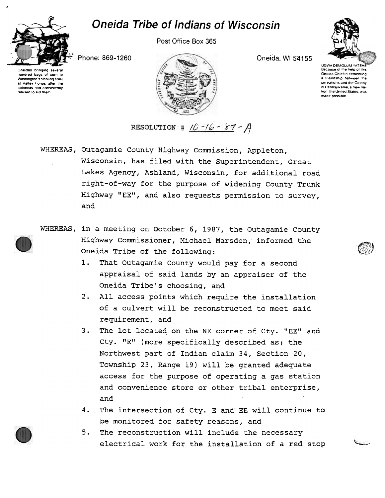## Oneida Tribe of Indians of Wisconsin



hundred bags of corn to Washington's starving army at Vatley Forge, after the colonists had consistently refused to aid them

Post Office Box 365

Phone: 869-1260



Oneida. WI 54155



UGWA DEMOLUM YATEHI Because of the help of this Oneida Chiel in cementing a friendship between the six nations and the Colony of Pennsylvania, a new naloon 'he Unoted Slates was made possible

~<br>~~~

RESOLUTION #  $16 - 16 - 87 - A$ 

WHEREAS, Outagamie County Highway Commission, Appleton, Wisconsin, has filed with the Superintendent, Great Lakes Agency, Ashland, Wisconsin, for additional road right-of-way for the purpose of widening County Trunk Highway "EE", and also requests permission to survey, and

- WHEREAS, in a meeting on October 6, 1987, the Outagamie County Highway Commissioner, Michael Marsden, informed the Oneida Tribe of the following:
	- 1. That Outagamie County would pay for a second appraisal of said lands by an appraiser of the Oneida Tribe's choosing, and
	- 2. All access points which require the installation of a culvert will be reconstructed to meet said requirement, and
	- 3. The lot located on the NE corner of Cty. "EE" and Cty. "E" (more specifically described as; the Northwest part of Indian claim 34, Section 20, Township 23, Range 19) will be granted adequate access for the purpose of operating a gas station and convenience store or other tribal enterprise, and
	- 4. The intersection of Cty. E and EE will continue to be monitored for safety reasons, and
	- 5. The reconstruction will include the necessary electrical work for the installation of a red stop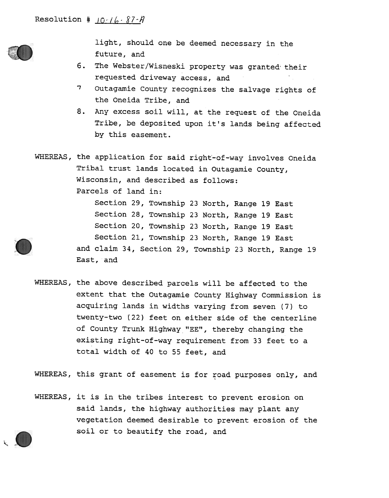

~

light, should one be deemed necessary in the future, and

- 6. The Webster/Wisneski property was granted t requested driveway access, and
- "7 Outagamie County recognizes the salvage rights of the Oneida Tribe, and
- 8. Any excess soil will, at the request of the Oneida Tribe, be deposited upon it's lands being affected by this easement.

WHEREAS, the application for said right-of-way involves Oneida Tribal trust lands located in Outagamie County, Wisconsin, and described as follows: Parcels of land in: Section 29, Township 23 North, Range 19 East Section 28, Township 23 North, Range 19 East Section 20, Township 23 North, Range 19 East Section 21, Township 23 North, Range 19 East and claim 34, Section 29, Township 23 North, Range 19 East, and

WHEREAS, the above described parcels will be affected to the extent that the Outagamie County Highway Commission is acquiring lands in widths varying from seven (7) to twenty-two (22) feet on either side of the centerline of County Trunk Highway "EE", thereby changing the existing right-of-way requirement from 33 feet to a total width of 40 to 55 feet, and

WHEREAS, this grant of easement is for road purposes only, and

WHEREAS, it is in the tribes interest to prevent erosion on said lands, the highway authorities may plant any vegetation deemed desirable to prevent erosion of the soil or to beautify the road, and